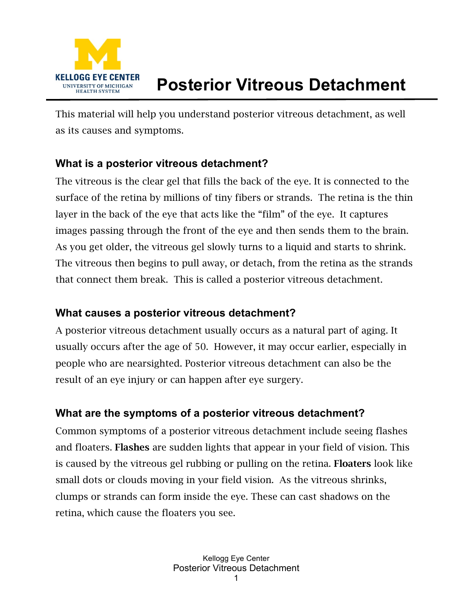

# **Posterior Vitreous Detachment**

This material will help you understand posterior vitreous detachment, as well as its causes and symptoms.

#### **What is a posterior vitreous detachment?**

The vitreous is the clear gel that fills the back of the eye. It is connected to the surface of the retina by millions of tiny fibers or strands. The retina is the thin layer in the back of the eye that acts like the "film" of the eye. It captures images passing through the front of the eye and then sends them to the brain. As you get older, the vitreous gel slowly turns to a liquid and starts to shrink. The vitreous then begins to pull away, or detach, from the retina as the strands that connect them break. This is called a posterior vitreous detachment.

### **What causes a posterior vitreous detachment?**

A posterior vitreous detachment usually occurs as a natural part of aging. It usually occurs after the age of 50. However, it may occur earlier, especially in people who are nearsighted. Posterior vitreous detachment can also be the result of an eye injury or can happen after eye surgery.

### **What are the symptoms of a posterior vitreous detachment?**

Common symptoms of a posterior vitreous detachment include seeing flashes and floaters. Flashes are sudden lights that appear in your field of vision. This is caused by the vitreous gel rubbing or pulling on the retina. Floaters look like small dots or clouds moving in your field vision. As the vitreous shrinks, clumps or strands can form inside the eye. These can cast shadows on the retina, which cause the floaters you see.